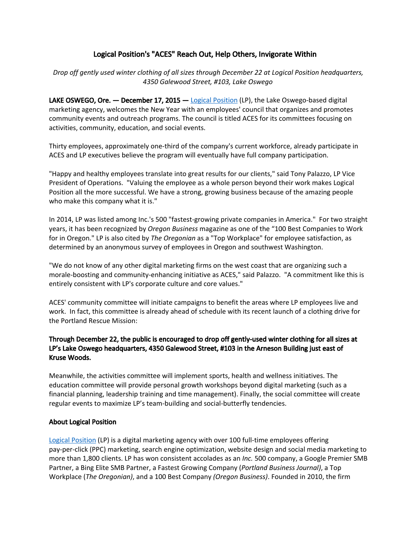## Logical Position's "ACES" Reach Out, Help Others, Invigorate Within

*Drop off gently used winter clothing of all sizes through December 22 at Logical Position headquarters, 4350 Galewood Street, #103, Lake Oswego*

**LAKE OSWEGO, Ore.**  $-$  **December 17, 2015**  $-$  Logical [Position](http://www.logicalposition.com/) (LP), the Lake Oswego-based digital marketing agency, welcomes the New Year with an employees' council that organizes and promotes community events and outreach programs. The council is titled ACES for its committees focusing on activities, community, education, and social events.

Thirty employees, approximately one-third of the company's current workforce, already participate in ACES and LP executives believe the program will eventually have full company participation.

"Happy and healthy employees translate into great results for our clients," said Tony Palazzo, LP Vice President of Operations. "Valuing the employee as a whole person beyond their work makes Logical Position all the more successful. We have a strong, growing business because of the amazing people who make this company what it is."

In 2014, LP was listed among Inc.'s 500 "fastest-growing private companies in America." For two straight years, it has been recognized by *Oregon Business* magazine as one of the "100 Best Companies to Work for in Oregon." LP is also cited by *The Oregonian* as a "Top Workplace" for employee satisfaction, as determined by an anonymous survey of employees in Oregon and southwest Washington.

"We do not know of any other digital marketing firms on the west coast that are organizing such a morale-boosting and community-enhancing initiative as ACES," said Palazzo. "A commitment like this is entirely consistent with LP's corporate culture and core values."

ACES' community committee will initiate campaigns to benefit the areas where LP employees live and work. In fact, this committee is already ahead of schedule with its recent launch of a clothing drive for the Portland Rescue Mission:

## Through December 22, the public is encouraged to drop off gently-used winter clothing for all sizes at LP's Lake Oswego headquarters, 4350 Galewood Street, #103 in the Arneson Building just east of Kruse Woods.

Meanwhile, the activities committee will implement sports, health and wellness initiatives. The education committee will provide personal growth workshops beyond digital marketing (such as a financial planning, leadership training and time management). Finally, the social committee will create regular events to maximize LP's team-building and social-butterfly tendencies.

## About Logical Position

Logical [Position](http://www.logicalposition.com/) (LP) is a digital marketing agency with over 100 full-time employees offering pay-per-click (PPC) marketing, search engine optimization, website design and social media marketing to more than 1,800 clients. LP has won consistent accolades as an *Inc.* 500 company, a Google Premier SMB Partner, a Bing Elite SMB Partner, a Fastest Growing Company (*Portland Business Journal)*, a Top Workplace (*The Oregonian)*, and a 100 Best Company *(Oregon Business)*. Founded in 2010, the firm